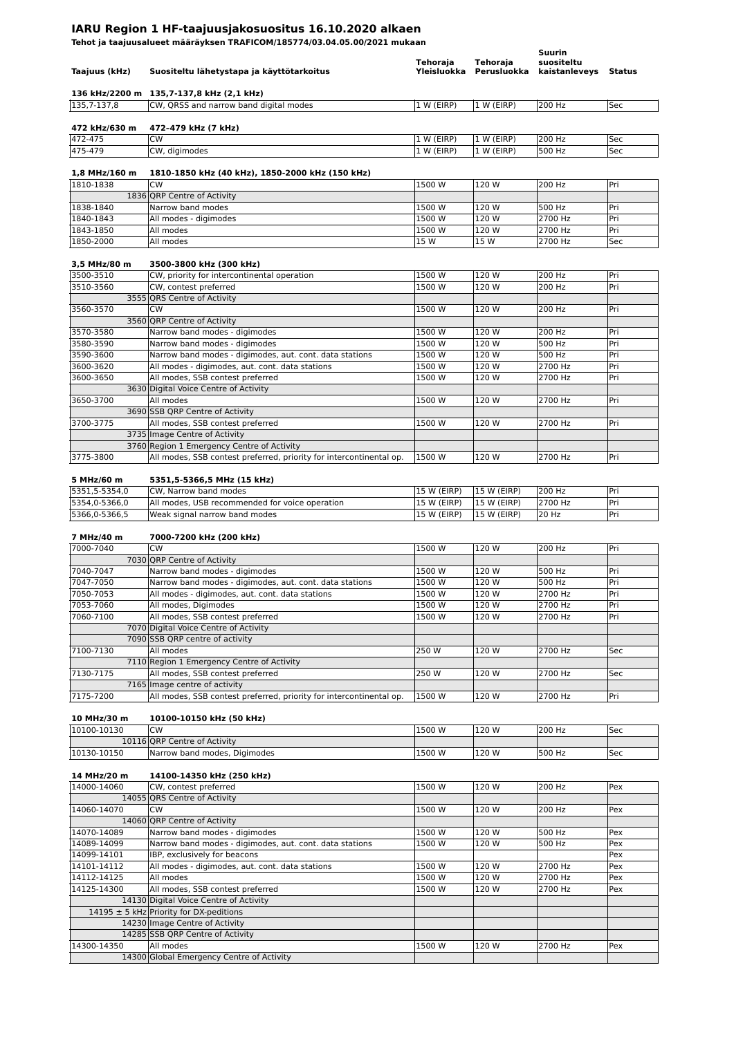## **IARU Region 1 HF-taajuusjakosuositus 16.10.2020 alkaen**

**Tehot ja taajuusalueet määräyksen TRAFICOM/185774/03.04.05.00/2021 mukaan**

| Taajuus (kHz)                  | Suositeltu lähetystapa ja käyttötarkoitus                                                                  | Tehoraja                   | Tehoraja<br>Yleisluokka Perusluokka | Suurin<br>suositeltu<br>kaistanleveys Status |            |
|--------------------------------|------------------------------------------------------------------------------------------------------------|----------------------------|-------------------------------------|----------------------------------------------|------------|
| 135,7-137,8                    | 136 kHz/2200 m 135,7-137,8 kHz (2,1 kHz)<br>CW, QRSS and narrow band digital modes                         | 1 W (EIRP)                 | 1 W (EIRP)                          | 200 Hz                                       | Sec        |
| 472 kHz/630 m                  | 472-479 kHz (7 kHz)                                                                                        |                            |                                     |                                              |            |
| 472-475<br>475-479             | <b>CW</b><br>CW, digimodes                                                                                 | 1 W (EIRP)<br>1 W (EIRP)   | 1 W (EIRP)<br>1 W (EIRP)            | 200 Hz<br>500 Hz                             | Sec<br>Sec |
|                                |                                                                                                            |                            |                                     |                                              |            |
| 1,8 MHz/160 m                  | 1810-1850 kHz (40 kHz), 1850-2000 kHz (150 kHz)                                                            |                            |                                     |                                              |            |
| 1810-1838                      | CW                                                                                                         | 1500 W                     | 120 W                               | 200 Hz                                       | Pri        |
|                                | 1836 QRP Centre of Activity                                                                                |                            |                                     |                                              |            |
| 1838-1840                      | Narrow band modes                                                                                          | 1500 W                     | 120 W                               | 500 Hz                                       | Pri        |
| 1840-1843                      | All modes - digimodes                                                                                      | 1500 W                     | 120 W                               | 2700 Hz                                      | Pri        |
| 1843-1850                      | All modes                                                                                                  | 1500 W                     | 120 W                               | 2700 Hz                                      | Pri        |
| 1850-2000                      | All modes                                                                                                  | 15 W                       | 15 W                                | 2700 Hz                                      | Sec        |
| 3,5 MHz/80 m                   | 3500-3800 kHz (300 kHz)                                                                                    |                            |                                     |                                              |            |
| 3500-3510                      | CW, priority for intercontinental operation                                                                | 1500 W                     | 120 W                               | 200 Hz                                       | Pri        |
| 3510-3560                      | CW, contest preferred                                                                                      | 1500 W                     | 120 W                               | 200 Hz                                       | Pri        |
|                                | 3555 QRS Centre of Activity                                                                                |                            |                                     |                                              |            |
| 3560-3570                      | <b>CW</b>                                                                                                  | 1500 W                     | 120 W                               | 200 Hz                                       | Pri        |
|                                | 3560 ORP Centre of Activity                                                                                |                            |                                     |                                              |            |
| 3570-3580                      | Narrow band modes - digimodes                                                                              | 1500 W                     | 120 W                               | 200 Hz                                       | Pri        |
| 3580-3590                      | Narrow band modes - digimodes                                                                              | 1500 W                     | 120 W                               | 500 Hz                                       | Pri        |
| 3590-3600<br>3600-3620         | Narrow band modes - digimodes, aut. cont. data stations<br>All modes - digimodes, aut. cont. data stations | 1500 W<br>1500 W           | 120 W<br>120 W                      | 500 Hz<br>2700 Hz                            | Pri<br>Pri |
| 3600-3650                      | All modes, SSB contest preferred                                                                           | 1500 W                     | 120 W                               | 2700 Hz                                      | Pri        |
|                                | 3630 Digital Voice Centre of Activity                                                                      |                            |                                     |                                              |            |
| 3650-3700                      | All modes                                                                                                  | 1500 W                     | 120 W                               | 2700 Hz                                      | Pri        |
|                                | 3690 SSB QRP Centre of Activity                                                                            |                            |                                     |                                              |            |
| 3700-3775                      | All modes, SSB contest preferred                                                                           | 1500 W                     | 120 W                               | 2700 Hz                                      | Pri        |
|                                | 3735 Image Centre of Activity                                                                              |                            |                                     |                                              |            |
|                                | 3760 Region 1 Emergency Centre of Activity                                                                 |                            |                                     |                                              |            |
| 3775-3800                      | All modes, SSB contest preferred, priority for intercontinental op.                                        | 1500 W                     | 120 W                               | 2700 Hz                                      | Pri        |
|                                |                                                                                                            |                            |                                     |                                              |            |
| 5 MHz/60 m                     | 5351,5-5366,5 MHz (15 kHz)                                                                                 |                            |                                     |                                              |            |
| 5351,5-5354,0                  | CW, Narrow band modes                                                                                      | 15 W (EIRP)                | 15 W (EIRP)                         | 200 Hz<br>2700 Hz                            | Pri        |
| 5354,0-5366,0<br>5366,0-5366,5 | All modes, USB recommended for voice operation<br>Weak signal narrow band modes                            | 15 W (EIRP)<br>15 W (EIRP) | 15 W (EIRP)<br>15 W (EIRP)          | 20 Hz                                        | Pri<br>Pri |
|                                |                                                                                                            |                            |                                     |                                              |            |
| 7 MHz/40 m                     | 7000-7200 kHz (200 kHz)                                                                                    |                            |                                     |                                              |            |
| 7000-7040                      | <b>CW</b>                                                                                                  | 1500 W                     | 120 W                               | 200 Hz                                       | Pri        |
|                                | 7030 ORP Centre of Activity                                                                                |                            |                                     |                                              |            |
| 7040-7047                      | Narrow band modes - digimodes                                                                              | 1500 W                     | 120 W                               | 500 Hz                                       | Pri        |
| 7047-7050                      | Narrow band modes - digimodes, aut. cont. data stations                                                    |                            | 120 W                               |                                              |            |
| 7050-7053                      |                                                                                                            | 1500 W                     |                                     | 500 Hz                                       | Pri        |
|                                | All modes - digimodes, aut. cont. data stations                                                            | 1500W                      | 120W                                | 2700 Hz                                      | Pri        |
| 7053-7060                      | All modes, Digimodes                                                                                       | 1500 W                     | 120 W                               | 2700 Hz                                      | Pri        |
| 7060-7100                      | All modes, SSB contest preferred                                                                           | 1500 W                     | 120 W                               | 2700 Hz                                      | Pri        |
|                                | 7070 Digital Voice Centre of Activity                                                                      |                            |                                     |                                              |            |
|                                | 7090 SSB QRP centre of activity                                                                            |                            |                                     |                                              |            |
| 7100-7130                      | All modes                                                                                                  | 250 W                      | 120 W                               | 2700 Hz                                      | Sec        |
| 7130-7175                      | 7110 Region 1 Emergency Centre of Activity                                                                 | 250 W                      | 120 W                               | 2700 Hz                                      |            |
|                                | All modes, SSB contest preferred<br>7165 Image centre of activity                                          |                            |                                     |                                              | Sec        |
| 7175-7200                      | All modes, SSB contest preferred, priority for intercontinental op.                                        | 1500 W                     | 120 W                               | 2700 Hz                                      | Pri        |
|                                |                                                                                                            |                            |                                     |                                              |            |
| 10 MHz/30 m                    | 10100-10150 kHz (50 kHz)                                                                                   |                            |                                     |                                              |            |
| 10100-10130                    | CW                                                                                                         | 1500 W                     | 120 W                               | 200 Hz                                       | Sec        |
|                                | 10116 QRP Centre of Activity                                                                               |                            |                                     |                                              |            |
| 10130-10150                    | Narrow band modes, Digimodes                                                                               | 1500 W                     | 120 W                               | 500 Hz                                       | Sec        |
|                                |                                                                                                            |                            |                                     |                                              |            |
| 14 MHz/20 m                    | 14100-14350 kHz (250 kHz)                                                                                  |                            |                                     |                                              |            |
| 14000-14060                    | CW, contest preferred<br>14055 QRS Centre of Activity                                                      | 1500 W                     | 120 W                               | 200 Hz                                       | Pex        |
| 14060-14070                    | CW                                                                                                         | 1500 W                     | 120 W                               | 200 Hz                                       | Pex        |
|                                | 14060 QRP Centre of Activity                                                                               |                            |                                     |                                              |            |
| 14070-14089                    | Narrow band modes - digimodes                                                                              | 1500 W                     | 120 W                               | 500 Hz                                       | Pex        |
| 14089-14099                    | Narrow band modes - digimodes, aut. cont. data stations                                                    | 1500 W                     | 120 W                               | 500 Hz                                       | Pex        |
| 14099-14101                    | IBP, exclusively for beacons                                                                               |                            |                                     |                                              | Pex        |
| 14101-14112                    | All modes - digimodes, aut. cont. data stations                                                            | 1500 W                     | 120 W                               | 2700 Hz                                      | Pex        |
| 14112-14125                    | All modes                                                                                                  | 1500W                      | 120 W                               | 2700 Hz                                      | Pex        |
| 14125-14300                    | All modes, SSB contest preferred                                                                           | 1500 W                     | 120 W                               | 2700 Hz                                      | Pex        |
|                                | 14130 Digital Voice Centre of Activity                                                                     |                            |                                     |                                              |            |
|                                | 14195 ± 5 kHz Priority for DX-peditions                                                                    |                            |                                     |                                              |            |
|                                | 14230 Image Centre of Activity                                                                             |                            |                                     |                                              |            |
|                                | 14285 SSB QRP Centre of Activity                                                                           |                            |                                     |                                              |            |
| 14300-14350                    | All modes<br>14300 Global Emergency Centre of Activity                                                     | 1500 W                     | 120 W                               | 2700 Hz                                      | Pex        |